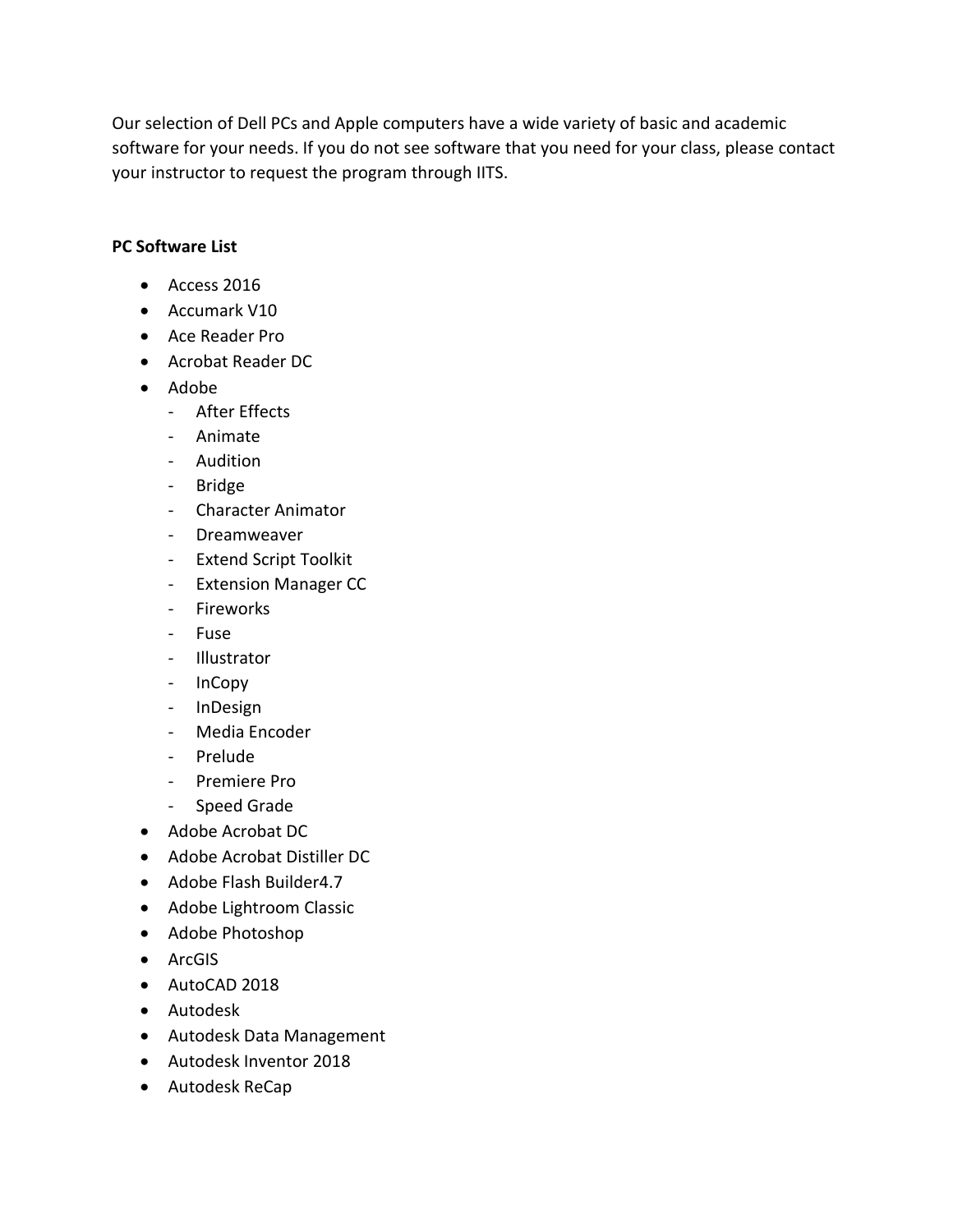Our selection of Dell PCs and Apple computers have a wide variety of basic and academic software for your needs. If you do not see software that you need for your class, please contact your instructor to request the program through IITS.

## **PC Software List**

- Access 2016
- Accumark V10
- Ace Reader Pro
- Acrobat Reader DC
- Adobe
	- After Effects
	- Animate
	- Audition
	- Bridge
	- Character Animator
	- Dreamweaver
	- Extend Script Toolkit
	- Extension Manager CC
	- Fireworks
	- Fuse
	- Illustrator
	- InCopy
	- InDesign
	- Media Encoder
	- Prelude
	- Premiere Pro
	- Speed Grade
- Adobe Acrobat DC
- Adobe Acrobat Distiller DC
- Adobe Flash Builder4.7
- Adobe Lightroom Classic
- Adobe Photoshop
- ArcGIS
- AutoCAD 2018
- Autodesk
- Autodesk Data Management
- Autodesk Inventor 2018
- Autodesk ReCap